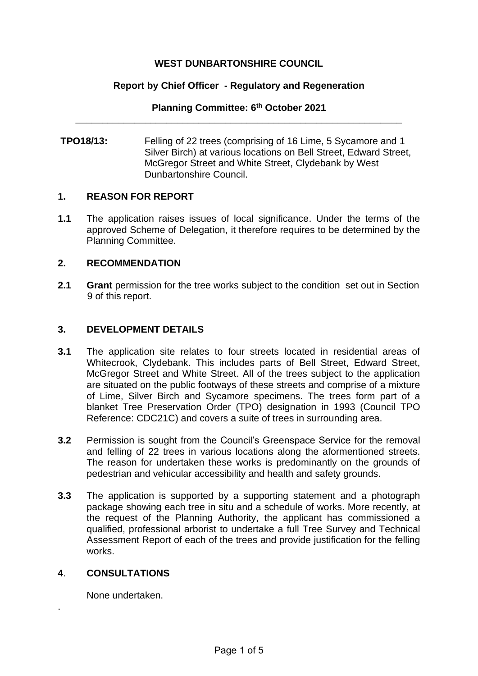## **WEST DUNBARTONSHIRE COUNCIL**

### **Report by Chief Officer - Regulatory and Regeneration**

#### **Planning Committee: 6 th October 2021 \_\_\_\_\_\_\_\_\_\_\_\_\_\_\_\_\_\_\_\_\_\_\_\_\_\_\_\_\_\_\_\_\_\_\_\_\_\_\_\_\_\_\_\_\_\_\_\_\_\_\_\_\_\_\_\_\_\_\_\_\_**

**TPO18/13:** Felling of 22 trees (comprising of 16 Lime, 5 Sycamore and 1 Silver Birch) at various locations on Bell Street, Edward Street, McGregor Street and White Street, Clydebank by West Dunbartonshire Council.

### **1. REASON FOR REPORT**

**1.1** The application raises issues of local significance. Under the terms of the approved Scheme of Delegation, it therefore requires to be determined by the Planning Committee.

### **2. RECOMMENDATION**

**2.1 Grant** permission for the tree works subject to the condition set out in Section 9 of this report.

## **3. DEVELOPMENT DETAILS**

- **3.1** The application site relates to four streets located in residential areas of Whitecrook, Clydebank. This includes parts of Bell Street, Edward Street, McGregor Street and White Street. All of the trees subject to the application are situated on the public footways of these streets and comprise of a mixture of Lime, Silver Birch and Sycamore specimens. The trees form part of a blanket Tree Preservation Order (TPO) designation in 1993 (Council TPO Reference: CDC21C) and covers a suite of trees in surrounding area.
- **3.2** Permission is sought from the Council's Greenspace Service for the removal and felling of 22 trees in various locations along the aformentioned streets. The reason for undertaken these works is predominantly on the grounds of pedestrian and vehicular accessibility and health and safety grounds.
- **3.3** The application is supported by a supporting statement and a photograph package showing each tree in situ and a schedule of works. More recently, at the request of the Planning Authority, the applicant has commissioned a qualified, professional arborist to undertake a full Tree Survey and Technical Assessment Report of each of the trees and provide justification for the felling works.

## **4**. **CONSULTATIONS**

.

None undertaken.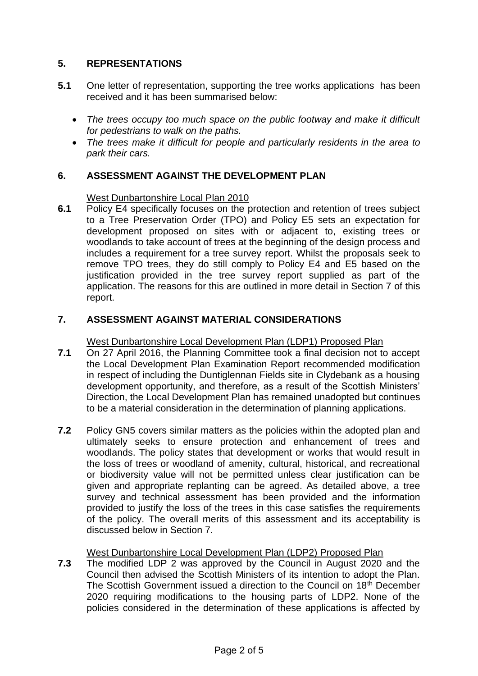# **5. REPRESENTATIONS**

- **5.1** One letter of representation, supporting the tree works applications has been received and it has been summarised below:
	- *The trees occupy too much space on the public footway and make it difficult for pedestrians to walk on the paths.*
	- *The trees make it difficult for people and particularly residents in the area to park their cars.*

# **6. ASSESSMENT AGAINST THE DEVELOPMENT PLAN**

## West Dunbartonshire Local Plan 2010

**6.1** Policy E4 specifically focuses on the protection and retention of trees subject to a Tree Preservation Order (TPO) and Policy E5 sets an expectation for development proposed on sites with or adjacent to, existing trees or woodlands to take account of trees at the beginning of the design process and includes a requirement for a tree survey report. Whilst the proposals seek to remove TPO trees, they do still comply to Policy E4 and E5 based on the justification provided in the tree survey report supplied as part of the application. The reasons for this are outlined in more detail in Section 7 of this report.

# **7. ASSESSMENT AGAINST MATERIAL CONSIDERATIONS**

# West Dunbartonshire Local Development Plan (LDP1) Proposed Plan

- **7.1** On 27 April 2016, the Planning Committee took a final decision not to accept the Local Development Plan Examination Report recommended modification in respect of including the Duntiglennan Fields site in Clydebank as a housing development opportunity, and therefore, as a result of the Scottish Ministers' Direction, the Local Development Plan has remained unadopted but continues to be a material consideration in the determination of planning applications.
- **7.2** Policy GN5 covers similar matters as the policies within the adopted plan and ultimately seeks to ensure protection and enhancement of trees and woodlands. The policy states that development or works that would result in the loss of trees or woodland of amenity, cultural, historical, and recreational or biodiversity value will not be permitted unless clear justification can be given and appropriate replanting can be agreed. As detailed above, a tree survey and technical assessment has been provided and the information provided to justify the loss of the trees in this case satisfies the requirements of the policy. The overall merits of this assessment and its acceptability is discussed below in Section 7.

# West Dunbartonshire Local Development Plan (LDP2) Proposed Plan

**7.3** The modified LDP 2 was approved by the Council in August 2020 and the Council then advised the Scottish Ministers of its intention to adopt the Plan. The Scottish Government issued a direction to the Council on 18<sup>th</sup> December 2020 requiring modifications to the housing parts of LDP2. None of the policies considered in the determination of these applications is affected by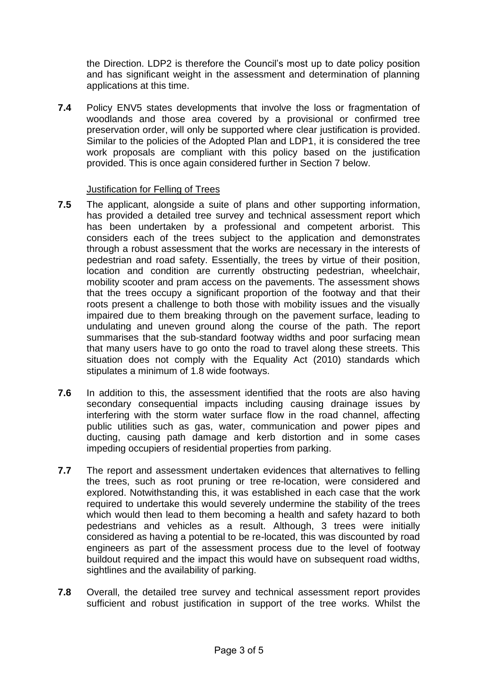the Direction. LDP2 is therefore the Council's most up to date policy position and has significant weight in the assessment and determination of planning applications at this time.

**7.4** Policy ENV5 states developments that involve the loss or fragmentation of woodlands and those area covered by a provisional or confirmed tree preservation order, will only be supported where clear justification is provided. Similar to the policies of the Adopted Plan and LDP1, it is considered the tree work proposals are compliant with this policy based on the justification provided. This is once again considered further in Section 7 below.

## Justification for Felling of Trees

- **7.5** The applicant, alongside a suite of plans and other supporting information, has provided a detailed tree survey and technical assessment report which has been undertaken by a professional and competent arborist. This considers each of the trees subject to the application and demonstrates through a robust assessment that the works are necessary in the interests of pedestrian and road safety. Essentially, the trees by virtue of their position, location and condition are currently obstructing pedestrian, wheelchair, mobility scooter and pram access on the pavements. The assessment shows that the trees occupy a significant proportion of the footway and that their roots present a challenge to both those with mobility issues and the visually impaired due to them breaking through on the pavement surface, leading to undulating and uneven ground along the course of the path. The report summarises that the sub-standard footway widths and poor surfacing mean that many users have to go onto the road to travel along these streets. This situation does not comply with the Equality Act (2010) standards which stipulates a minimum of 1.8 wide footways.
- **7.6** In addition to this, the assessment identified that the roots are also having secondary consequential impacts including causing drainage issues by interfering with the storm water surface flow in the road channel, affecting public utilities such as gas, water, communication and power pipes and ducting, causing path damage and kerb distortion and in some cases impeding occupiers of residential properties from parking.
- **7.7** The report and assessment undertaken evidences that alternatives to felling the trees, such as root pruning or tree re-location, were considered and explored. Notwithstanding this, it was established in each case that the work required to undertake this would severely undermine the stability of the trees which would then lead to them becoming a health and safety hazard to both pedestrians and vehicles as a result. Although, 3 trees were initially considered as having a potential to be re-located, this was discounted by road engineers as part of the assessment process due to the level of footway buildout required and the impact this would have on subsequent road widths, sightlines and the availability of parking.
- **7.8** Overall, the detailed tree survey and technical assessment report provides sufficient and robust justification in support of the tree works. Whilst the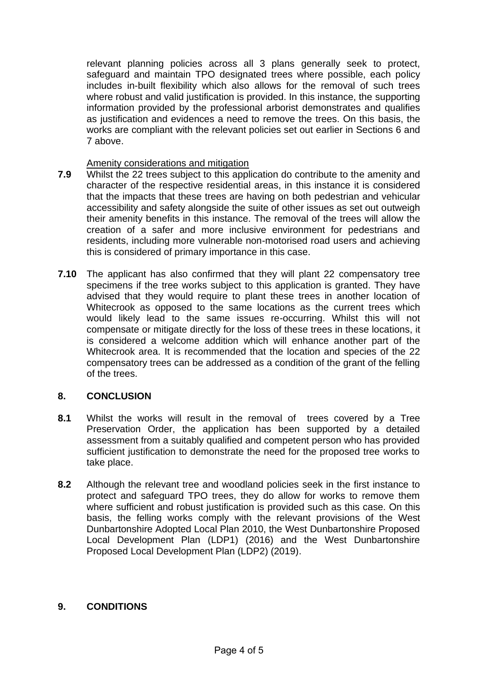relevant planning policies across all 3 plans generally seek to protect, safeguard and maintain TPO designated trees where possible, each policy includes in-built flexibility which also allows for the removal of such trees where robust and valid justification is provided. In this instance, the supporting information provided by the professional arborist demonstrates and qualifies as justification and evidences a need to remove the trees. On this basis, the works are compliant with the relevant policies set out earlier in Sections 6 and 7 above.

### Amenity considerations and mitigation

- **7.9** Whilst the 22 trees subject to this application do contribute to the amenity and character of the respective residential areas, in this instance it is considered that the impacts that these trees are having on both pedestrian and vehicular accessibility and safety alongside the suite of other issues as set out outweigh their amenity benefits in this instance. The removal of the trees will allow the creation of a safer and more inclusive environment for pedestrians and residents, including more vulnerable non-motorised road users and achieving this is considered of primary importance in this case.
- **7.10** The applicant has also confirmed that they will plant 22 compensatory tree specimens if the tree works subject to this application is granted. They have advised that they would require to plant these trees in another location of Whitecrook as opposed to the same locations as the current trees which would likely lead to the same issues re-occurring. Whilst this will not compensate or mitigate directly for the loss of these trees in these locations, it is considered a welcome addition which will enhance another part of the Whitecrook area. It is recommended that the location and species of the 22 compensatory trees can be addressed as a condition of the grant of the felling of the trees.

## **8. CONCLUSION**

- **8.1** Whilst the works will result in the removal of trees covered by a Tree Preservation Order, the application has been supported by a detailed assessment from a suitably qualified and competent person who has provided sufficient justification to demonstrate the need for the proposed tree works to take place.
- **8.2** Although the relevant tree and woodland policies seek in the first instance to protect and safeguard TPO trees, they do allow for works to remove them where sufficient and robust justification is provided such as this case. On this basis, the felling works comply with the relevant provisions of the West Dunbartonshire Adopted Local Plan 2010, the West Dunbartonshire Proposed Local Development Plan (LDP1) (2016) and the West Dunbartonshire Proposed Local Development Plan (LDP2) (2019).

## **9. CONDITIONS**